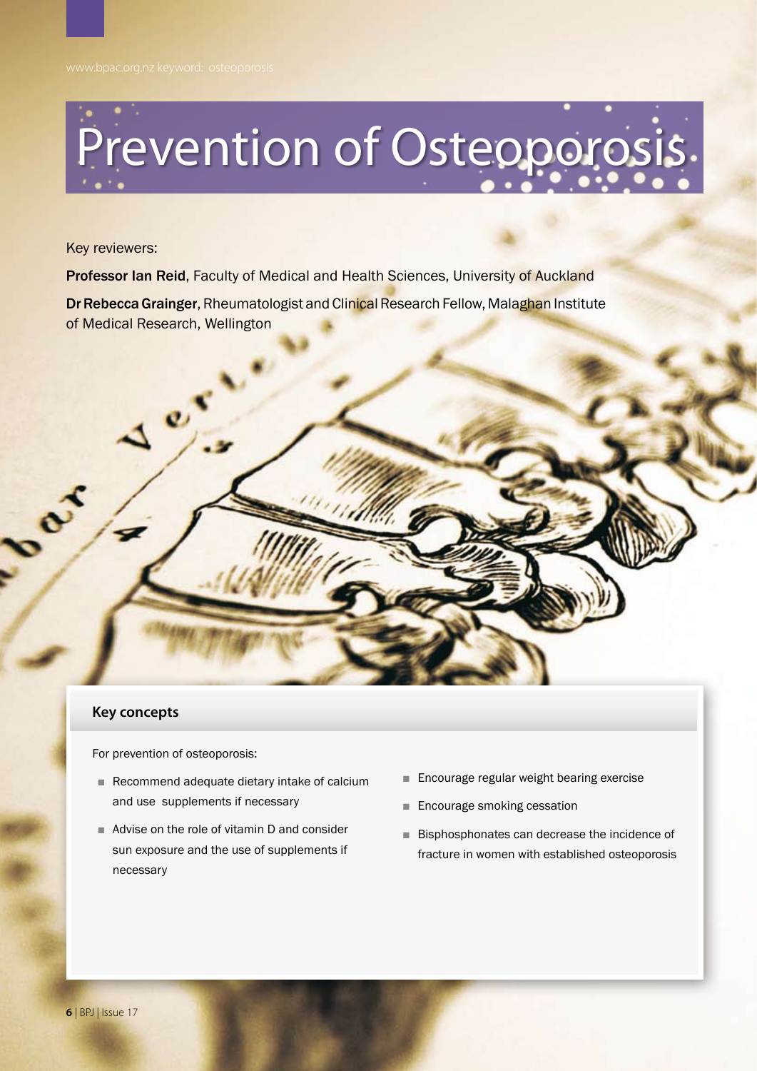# Prevention of Osteoporosis.

Key reviewers:

**Professor Ian Reid, Faculty of Medical and Health Sciences, University of Auckland** 

**Dr Rebecca Grainger, Rheumatologist and Clinical Research Fellow, Malaghan Institute** of Medical Research, Wellington

## **Key concepts**

For prevention of osteoporosis:

 $e^{\mathcal{S}}$ 

- Recommend adequate dietary intake of calcium and use supplements if necessary
- Advise on the role of vitamin D and consider sun exposure and the use of supplements if necessary
- Encourage regular weight bearing exercise
- Encourage smoking cessation
- Bisphosphonates can decrease the incidence of fracture in women with established osteoporosis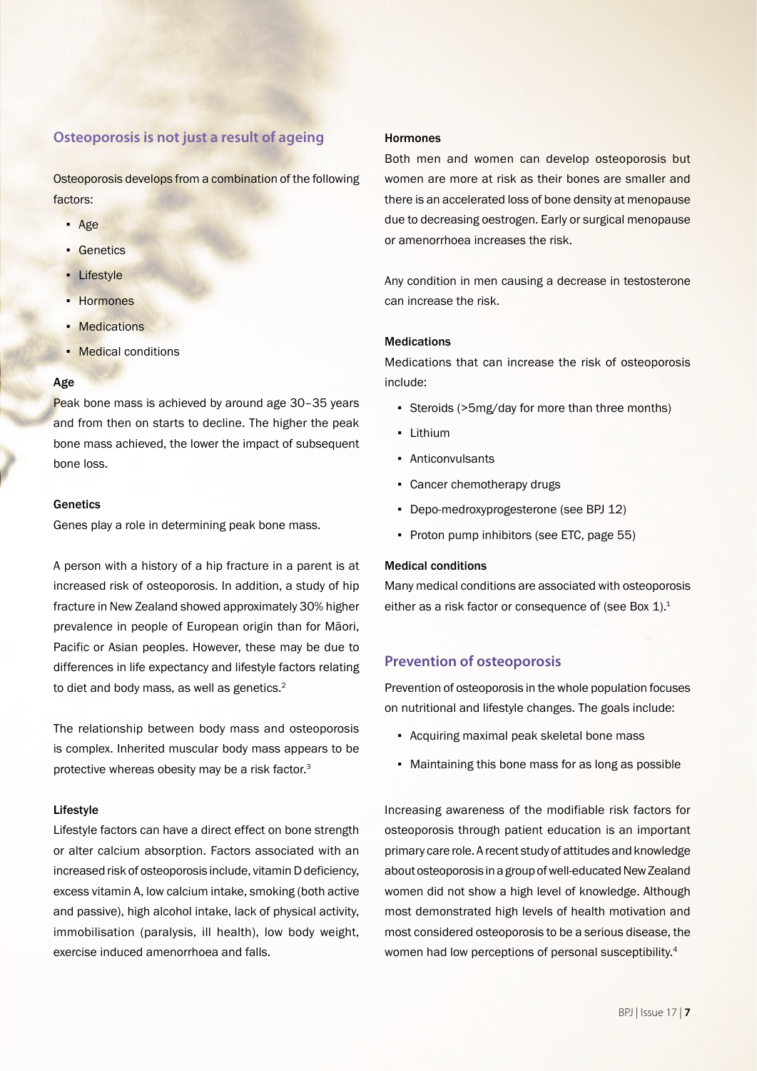## **Osteoporosis is not just a result of ageing**

Osteoporosis develops from a combination of the following factors:

- Age
- Genetics
- **·** Lifestyle
- Hormones
- **Medications**
- **Medical conditions**

## Age

Peak bone mass is achieved by around age 30–35 years and from then on starts to decline. The higher the peak bone mass achieved, the lower the impact of subsequent bone loss.

#### Genetics

Genes play a role in determining peak bone mass.

A person with a history of a hip fracture in a parent is at increased risk of osteoporosis. In addition, a study of hip fracture in New Zealand showed approximately 30% higher prevalence in people of European origin than for Māori, Pacific or Asian peoples. However, these may be due to differences in life expectancy and lifestyle factors relating to diet and body mass, as well as genetics.<sup>2</sup>

The relationship between body mass and osteoporosis is complex. Inherited muscular body mass appears to be protective whereas obesity may be a risk factor.<sup>3</sup>

#### Lifestyle

Lifestyle factors can have a direct effect on bone strength or alter calcium absorption. Factors associated with an increased risk of osteoporosis include, vitamin D deficiency, excess vitamin A, low calcium intake, smoking (both active and passive), high alcohol intake, lack of physical activity, immobilisation (paralysis, ill health), low body weight, exercise induced amenorrhoea and falls.

#### Hormones

Both men and women can develop osteoporosis but women are more at risk as their bones are smaller and there is an accelerated loss of bone density at menopause due to decreasing oestrogen. Early or surgical menopause or amenorrhoea increases the risk.

Any condition in men causing a decrease in testosterone can increase the risk.

## Medications

Medications that can increase the risk of osteoporosis include:

- Steroids (>5mg/day for more than three months)
- Lithium
- Anticonvulsants
- Cancer chemotherapy drugs
- Depo-medroxyprogesterone (see BPJ 12)
- Proton pump inhibitors (see ETC, page 55)

#### Medical conditions

Many medical conditions are associated with osteoporosis either as a risk factor or consequence of (see Box 1).<sup>1</sup>

## **Prevention of osteoporosis**

Prevention of osteoporosis in the whole population focuses on nutritional and lifestyle changes. The goals include:

- Acquiring maximal peak skeletal bone mass
- Maintaining this bone mass for as long as possible

Increasing awareness of the modifiable risk factors for osteoporosis through patient education is an important primary care role. A recent study of attitudes and knowledge about osteoporosis in a group of well-educated New Zealand women did not show a high level of knowledge. Although most demonstrated high levels of health motivation and most considered osteoporosis to be a serious disease, the women had low perceptions of personal susceptibility.<sup>4</sup>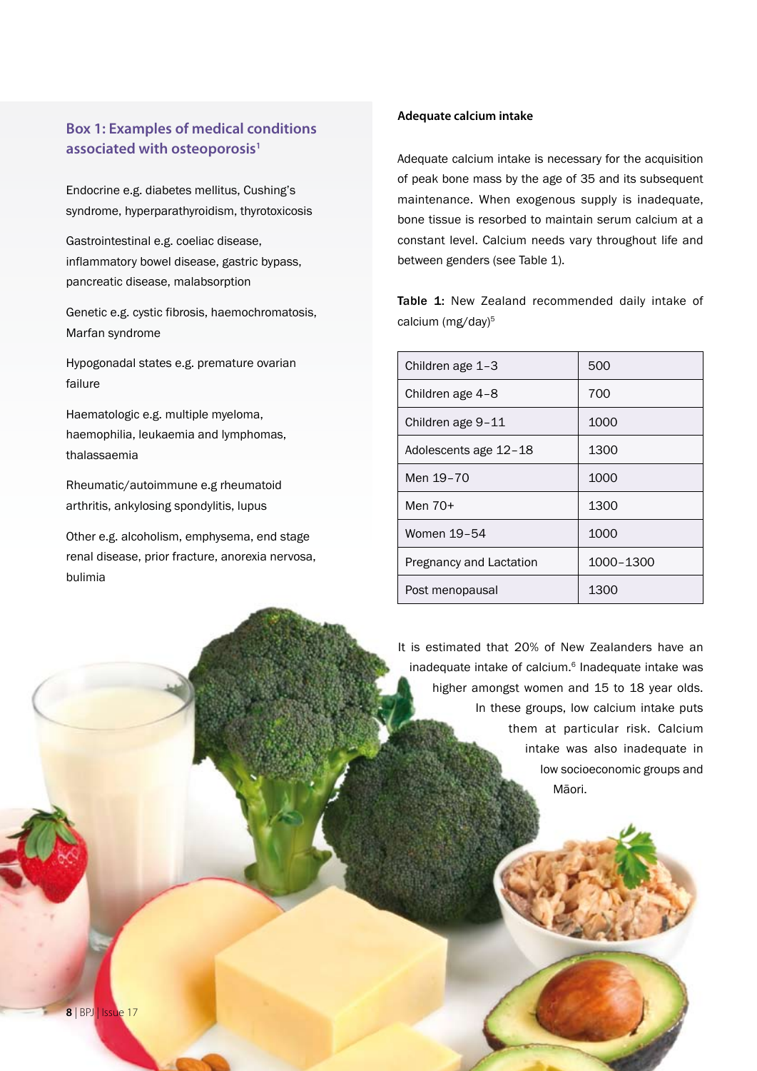# **Box 1: Examples of medical conditions associated with osteoporosis1**

Endocrine e.g. diabetes mellitus, Cushing's syndrome, hyperparathyroidism, thyrotoxicosis

Gastrointestinal e.g. coeliac disease, inflammatory bowel disease, gastric bypass, pancreatic disease, malabsorption

Genetic e.g. cystic fibrosis, haemochromatosis, Marfan syndrome

Hypogonadal states e.g. premature ovarian failure

Haematologic e.g. multiple myeloma, haemophilia, leukaemia and lymphomas, thalassaemia

Rheumatic/autoimmune e.g rheumatoid arthritis, ankylosing spondylitis, lupus

Other e.g. alcoholism, emphysema, end stage renal disease, prior fracture, anorexia nervosa, bulimia

#### **Adequate calcium intake**

Adequate calcium intake is necessary for the acquisition of peak bone mass by the age of 35 and its subsequent maintenance. When exogenous supply is inadequate, bone tissue is resorbed to maintain serum calcium at a constant level. Calcium needs vary throughout life and between genders (see Table 1).

Table 1: New Zealand recommended daily intake of calcium (mg/day)<sup>5</sup>

| Children age 1-3        | 500       |
|-------------------------|-----------|
| Children age 4-8        | 700       |
| Children age 9-11       | 1000      |
| Adolescents age 12-18   | 1300      |
| Men 19-70               | 1000      |
| Men 70+                 | 1300      |
| Women 19-54             | 1000      |
| Pregnancy and Lactation | 1000-1300 |
| Post menopausal         | 1300      |

It is estimated that 20% of New Zealanders have an inadequate intake of calcium.<sup>6</sup> Inadequate intake was higher amongst women and 15 to 18 year olds. In these groups, low calcium intake puts them at particular risk. Calcium intake was also inadequate in low socioeconomic groups and Māori.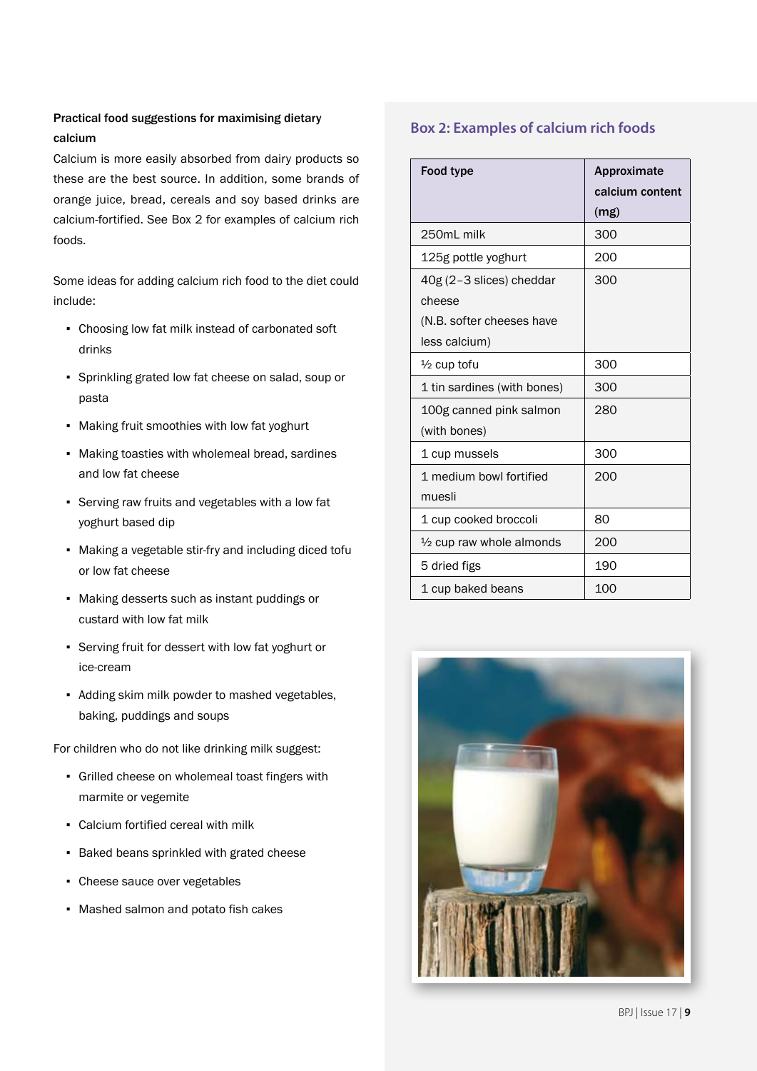# Practical food suggestions for maximising dietary calcium

Calcium is more easily absorbed from dairy products so these are the best source. In addition, some brands of orange juice, bread, cereals and soy based drinks are calcium-fortified. See Box 2 for examples of calcium rich foods.

Some ideas for adding calcium rich food to the diet could include:

- Choosing low fat milk instead of carbonated soft drinks
- Sprinkling grated low fat cheese on salad, soup or pasta
- Making fruit smoothies with low fat yoghurt
- Making toasties with wholemeal bread, sardines and low fat cheese
- Serving raw fruits and vegetables with a low fat yoghurt based dip
- Making a vegetable stir-fry and including diced tofu or low fat cheese
- Making desserts such as instant puddings or custard with low fat milk
- Serving fruit for dessert with low fat yoghurt or ice-cream
- Adding skim milk powder to mashed vegetables, baking, puddings and soups

For children who do not like drinking milk suggest:

- Grilled cheese on wholemeal toast fingers with marmite or vegemite
- Calcium fortified cereal with milk
- Baked beans sprinkled with grated cheese
- Cheese sauce over vegetables
- Mashed salmon and potato fish cakes

# **Box 2: Examples of calcium rich foods**

| <b>Food type</b>                                                                 | Approximate<br>calcium content<br>(mg) |
|----------------------------------------------------------------------------------|----------------------------------------|
| 250mL milk                                                                       | 300                                    |
| 125g pottle yoghurt                                                              | 200                                    |
| 40g (2-3 slices) cheddar<br>cheese<br>(N.B. softer cheeses have<br>less calcium) | 300                                    |
| $\frac{1}{2}$ cup tofu                                                           | 300                                    |
| 1 tin sardines (with bones)                                                      | 300                                    |
| 100g canned pink salmon<br>(with bones)                                          | 280                                    |
| 1 cup mussels                                                                    | 300                                    |
| 1 medium bowl fortified<br>muesli                                                | 200                                    |
| 1 cup cooked broccoli                                                            | 80                                     |
| $\frac{1}{2}$ cup raw whole almonds                                              | 200                                    |
| 5 dried figs                                                                     | 190                                    |
| 1 cup baked beans                                                                | 100                                    |

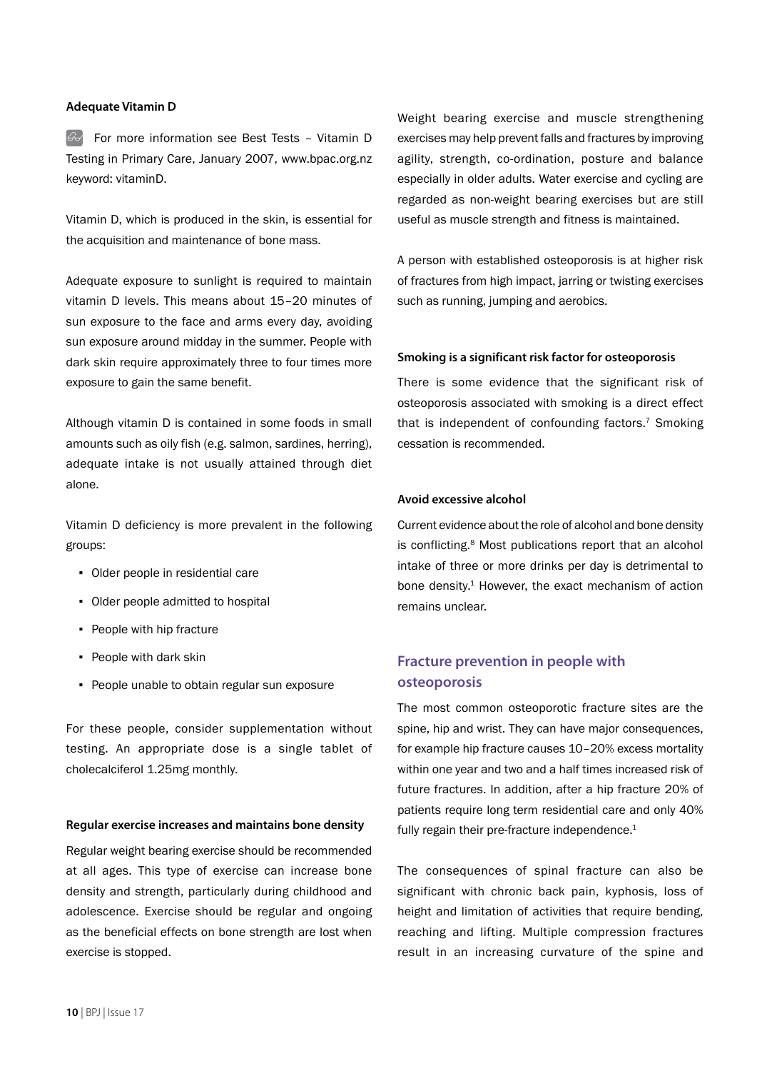#### **Adequate Vitamin D**

 $\mathbb{G}$  For more information see Best Tests – Vitamin D Testing in Primary Care, January 2007, www.bpac.org.nz keyword: vitaminD.

Vitamin D, which is produced in the skin, is essential for the acquisition and maintenance of bone mass.

Adequate exposure to sunlight is required to maintain vitamin D levels. This means about 15–20 minutes of sun exposure to the face and arms every day, avoiding sun exposure around midday in the summer. People with dark skin require approximately three to four times more exposure to gain the same benefit.

Although vitamin D is contained in some foods in small amounts such as oily fish (e.g. salmon, sardines, herring), adequate intake is not usually attained through diet alone.

Vitamin D deficiency is more prevalent in the following groups:

- Older people in residential care
- Older people admitted to hospital
- People with hip fracture
- People with dark skin
- People unable to obtain regular sun exposure

For these people, consider supplementation without testing. An appropriate dose is a single tablet of cholecalciferol 1.25mg monthly.

#### **Regular exercise increases and maintains bone density**

Regular weight bearing exercise should be recommended at all ages. This type of exercise can increase bone density and strength, particularly during childhood and adolescence. Exercise should be regular and ongoing as the beneficial effects on bone strength are lost when exercise is stopped.

Weight bearing exercise and muscle strengthening exercises may help prevent falls and fractures by improving agility, strength, co-ordination, posture and balance especially in older adults. Water exercise and cycling are regarded as non-weight bearing exercises but are still useful as muscle strength and fitness is maintained.

A person with established osteoporosis is at higher risk of fractures from high impact, jarring or twisting exercises such as running, jumping and aerobics.

#### **Smoking is a significant risk factor for osteoporosis**

There is some evidence that the significant risk of osteoporosis associated with smoking is a direct effect that is independent of confounding factors.<sup>7</sup> Smoking cessation is recommended.

#### **Avoid excessive alcohol**

Current evidence about the role of alcohol and bone density is conflicting.8 Most publications report that an alcohol intake of three or more drinks per day is detrimental to bone density.<sup>1</sup> However, the exact mechanism of action remains unclear.

# **Fracture prevention in people with osteoporosis**

The most common osteoporotic fracture sites are the spine, hip and wrist. They can have major consequences, for example hip fracture causes 10–20% excess mortality within one year and two and a half times increased risk of future fractures. In addition, after a hip fracture 20% of patients require long term residential care and only 40% fully regain their pre-fracture independence.<sup>1</sup>

The consequences of spinal fracture can also be significant with chronic back pain, kyphosis, loss of height and limitation of activities that require bending, reaching and lifting. Multiple compression fractures result in an increasing curvature of the spine and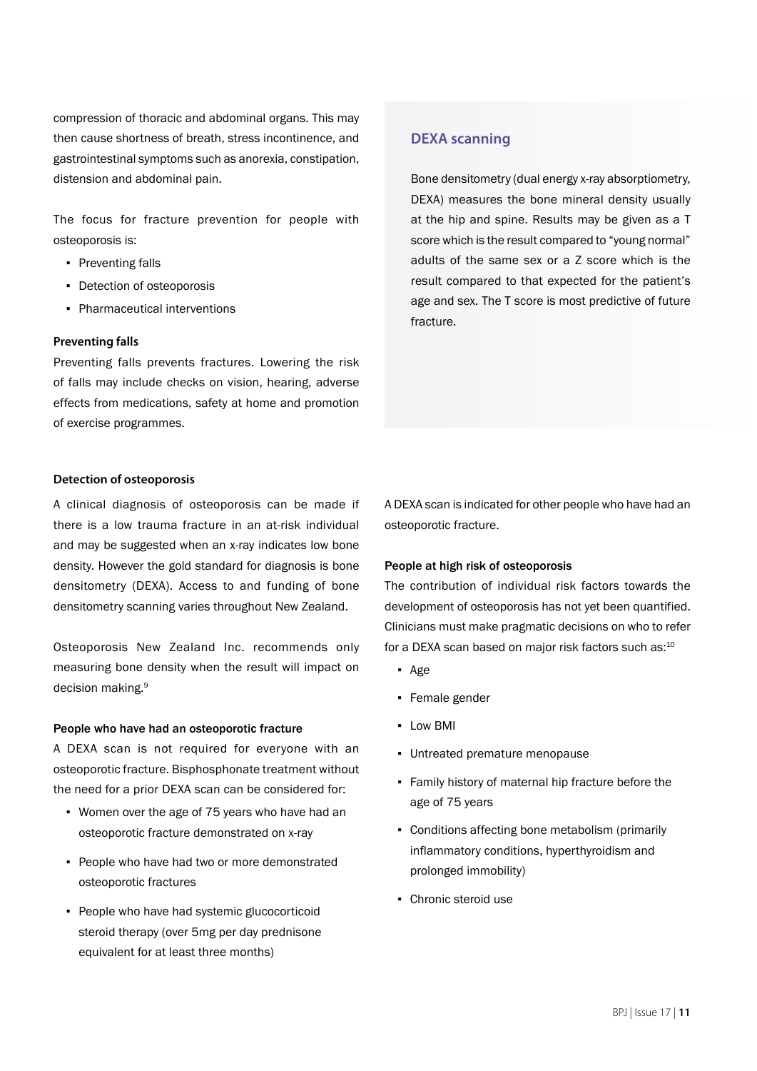compression of thoracic and abdominal organs. This may then cause shortness of breath, stress incontinence, and gastrointestinal symptoms such as anorexia, constipation, distension and abdominal pain.

The focus for fracture prevention for people with osteoporosis is:

- Preventing falls
- Detection of osteoporosis
- Pharmaceutical interventions

#### **Preventing falls**

Preventing falls prevents fractures. Lowering the risk of falls may include checks on vision, hearing, adverse effects from medications, safety at home and promotion of exercise programmes.

#### **Detection of osteoporosis**

A clinical diagnosis of osteoporosis can be made if there is a low trauma fracture in an at-risk individual and may be suggested when an x-ray indicates low bone density. However the gold standard for diagnosis is bone densitometry (DEXA). Access to and funding of bone densitometry scanning varies throughout New Zealand.

Osteoporosis New Zealand Inc. recommends only measuring bone density when the result will impact on decision making.<sup>9</sup>

#### People who have had an osteoporotic fracture

A DEXA scan is not required for everyone with an osteoporotic fracture. Bisphosphonate treatment without the need for a prior DEXA scan can be considered for:

- Women over the age of 75 years who have had an osteoporotic fracture demonstrated on x-ray
- People who have had two or more demonstrated osteoporotic fractures
- People who have had systemic glucocorticoid steroid therapy (over 5mg per day prednisone equivalent for at least three months)

## **DEXA scanning**

Bone densitometry (dual energy x-ray absorptiometry, DEXA) measures the bone mineral density usually at the hip and spine. Results may be given as a T score which is the result compared to "young normal" adults of the same sex or a Z score which is the result compared to that expected for the patient's age and sex. The T score is most predictive of future fracture.

A DEXA scan is indicated for other people who have had an osteoporotic fracture.

#### People at high risk of osteoporosis

The contribution of individual risk factors towards the development of osteoporosis has not yet been quantified. Clinicians must make pragmatic decisions on who to refer for a DEXA scan based on major risk factors such as:<sup>10</sup>

- Age
- Female gender
- Low BMI
- Untreated premature menopause
- **Family history of maternal hip fracture before the** age of 75 years
- Conditions affecting bone metabolism (primarily inflammatory conditions, hyperthyroidism and prolonged immobility)
- Chronic steroid use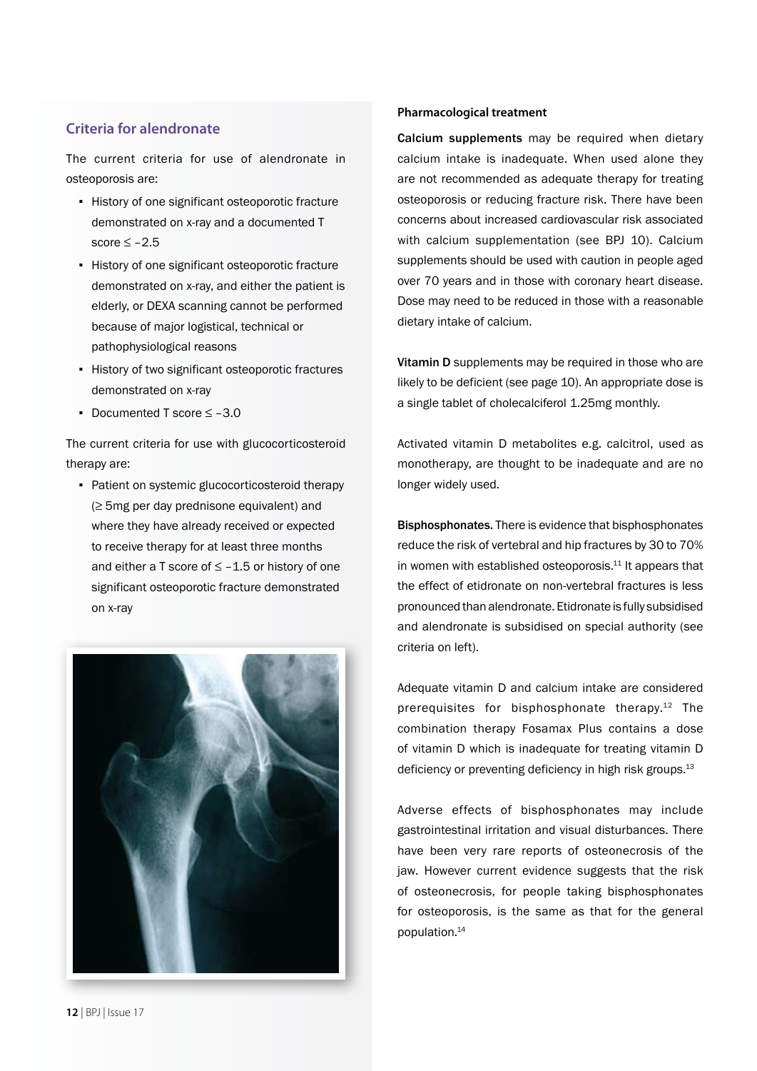# **Criteria for alendronate**

The current criteria for use of alendronate in osteoporosis are:

- **·** History of one significant osteoporotic fracture demonstrated on x-ray and a documented T score  $\leq -2.5$
- History of one significant osteoporotic fracture demonstrated on x-ray, and either the patient is elderly, or DEXA scanning cannot be performed because of major logistical, technical or pathophysiological reasons
- **EXECT** History of two significant osteoporotic fractures demonstrated on x-ray
- Documented T score ≤ –3.0

The current criteria for use with glucocorticosteroid therapy are:

• Patient on systemic glucocorticosteroid therapy (≥ 5mg per day prednisone equivalent) and where they have already received or expected to receive therapy for at least three months and either a T score of  $\leq -1.5$  or history of one significant osteoporotic fracture demonstrated on x-ray



#### **Pharmacological treatment**

Calcium supplements may be required when dietary calcium intake is inadequate. When used alone they are not recommended as adequate therapy for treating osteoporosis or reducing fracture risk. There have been concerns about increased cardiovascular risk associated with calcium supplementation (see BPJ 10). Calcium supplements should be used with caution in people aged over 70 years and in those with coronary heart disease. Dose may need to be reduced in those with a reasonable dietary intake of calcium.

Vitamin D supplements may be required in those who are likely to be deficient (see page 10). An appropriate dose is a single tablet of cholecalciferol 1.25mg monthly.

Activated vitamin D metabolites e.g. calcitrol, used as monotherapy, are thought to be inadequate and are no longer widely used.

Bisphosphonates. There is evidence that bisphosphonates reduce the risk of vertebral and hip fractures by 30 to 70% in women with established osteoporosis.<sup>11</sup> It appears that the effect of etidronate on non-vertebral fractures is less pronounced than alendronate. Etidronate is fully subsidised and alendronate is subsidised on special authority (see criteria on left).

Adequate vitamin D and calcium intake are considered prerequisites for bisphosphonate therapy.<sup>12</sup> The combination therapy Fosamax Plus contains a dose of vitamin D which is inadequate for treating vitamin D deficiency or preventing deficiency in high risk groups.<sup>13</sup>

Adverse effects of bisphosphonates may include gastrointestinal irritation and visual disturbances. There have been very rare reports of osteonecrosis of the jaw. However current evidence suggests that the risk of osteonecrosis, for people taking bisphosphonates for osteoporosis, is the same as that for the general population.14